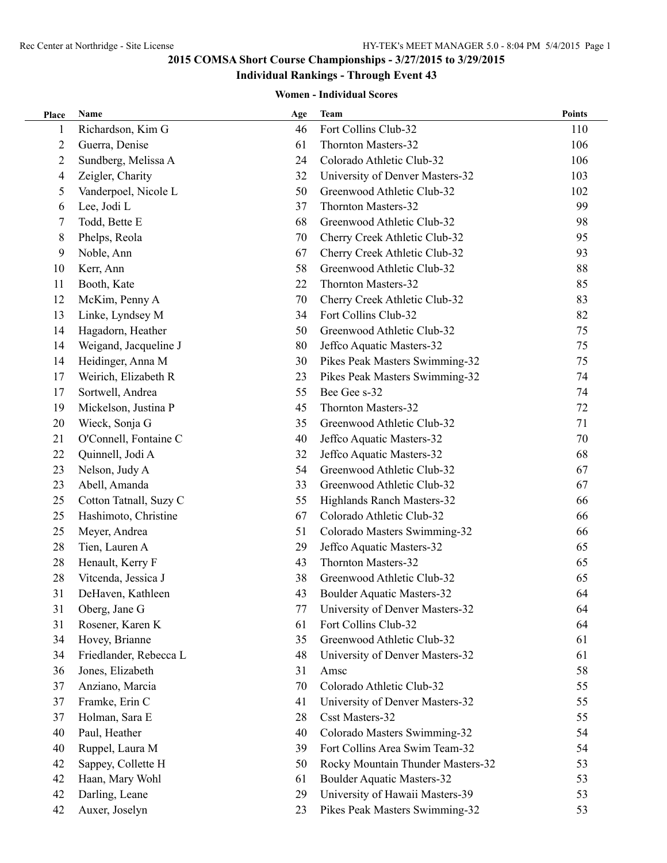## **Individual Rankings - Through Event 43**

| Place | Name                   | Age | Team                              | <b>Points</b> |
|-------|------------------------|-----|-----------------------------------|---------------|
| 1     | Richardson, Kim G      | 46  | Fort Collins Club-32              | 110           |
| 2     | Guerra, Denise         | 61  | Thornton Masters-32               | 106           |
| 2     | Sundberg, Melissa A    | 24  | Colorado Athletic Club-32         | 106           |
| 4     | Zeigler, Charity       | 32  | University of Denver Masters-32   | 103           |
| 5     | Vanderpoel, Nicole L   | 50  | Greenwood Athletic Club-32        | 102           |
| 6     | Lee, Jodi L            | 37  | Thornton Masters-32               | 99            |
| 7     | Todd, Bette E          | 68  | Greenwood Athletic Club-32        | 98            |
| 8     | Phelps, Reola          | 70  | Cherry Creek Athletic Club-32     | 95            |
| 9     | Noble, Ann             | 67  | Cherry Creek Athletic Club-32     | 93            |
| 10    | Kerr, Ann              | 58  | Greenwood Athletic Club-32        | 88            |
| 11    | Booth, Kate            | 22  | Thornton Masters-32               | 85            |
| 12    | McKim, Penny A         | 70  | Cherry Creek Athletic Club-32     | 83            |
| 13    | Linke, Lyndsey M       | 34  | Fort Collins Club-32              | 82            |
| 14    | Hagadorn, Heather      | 50  | Greenwood Athletic Club-32        | 75            |
| 14    | Weigand, Jacqueline J  | 80  | Jeffco Aquatic Masters-32         | 75            |
| 14    | Heidinger, Anna M      | 30  | Pikes Peak Masters Swimming-32    | 75            |
| 17    | Weirich, Elizabeth R   | 23  | Pikes Peak Masters Swimming-32    | 74            |
| 17    | Sortwell, Andrea       | 55  | Bee Gee s-32                      | 74            |
| 19    | Mickelson, Justina P   | 45  | Thornton Masters-32               | 72            |
| 20    | Wieck, Sonja G         | 35  | Greenwood Athletic Club-32        | 71            |
| 21    | O'Connell, Fontaine C  | 40  | Jeffco Aquatic Masters-32         | 70            |
| 22    | Quinnell, Jodi A       | 32  | Jeffco Aquatic Masters-32         | 68            |
| 23    | Nelson, Judy A         | 54  | Greenwood Athletic Club-32        | 67            |
| 23    | Abell, Amanda          | 33  | Greenwood Athletic Club-32        | 67            |
| 25    | Cotton Tatnall, Suzy C | 55  | Highlands Ranch Masters-32        | 66            |
| 25    | Hashimoto, Christine   | 67  | Colorado Athletic Club-32         | 66            |
| 25    | Meyer, Andrea          | 51  | Colorado Masters Swimming-32      | 66            |
| 28    | Tien, Lauren A         | 29  | Jeffco Aquatic Masters-32         | 65            |
| 28    | Henault, Kerry F       | 43  | Thornton Masters-32               | 65            |
| 28    | Vitcenda, Jessica J    | 38  | Greenwood Athletic Club-32        | 65            |
| 31    | DeHaven, Kathleen      | 43  | <b>Boulder Aquatic Masters-32</b> | 64            |
| 31    | Oberg, Jane G          | 77  | University of Denver Masters-32   | 64            |
| 31    | Rosener, Karen K       | 61  | Fort Collins Club-32              | 64            |
| 34    | Hovey, Brianne         | 35  | Greenwood Athletic Club-32        | 61            |
| 34    | Friedlander, Rebecca L | 48  | University of Denver Masters-32   | 61            |
| 36    | Jones, Elizabeth       | 31  | Amsc                              | 58            |
| 37    | Anziano, Marcia        | 70  | Colorado Athletic Club-32         | 55            |
| 37    | Framke, Erin C         | 41  | University of Denver Masters-32   | 55            |
| 37    | Holman, Sara E         | 28  | Csst Masters-32                   | 55            |
| 40    | Paul, Heather          | 40  | Colorado Masters Swimming-32      | 54            |
| 40    | Ruppel, Laura M        | 39  | Fort Collins Area Swim Team-32    | 54            |
| 42    | Sappey, Collette H     | 50  | Rocky Mountain Thunder Masters-32 | 53            |
| 42    | Haan, Mary Wohl        | 61  | <b>Boulder Aquatic Masters-32</b> | 53            |
| 42    | Darling, Leane         | 29  | University of Hawaii Masters-39   | 53            |
| 42    | Auxer, Joselyn         | 23  | Pikes Peak Masters Swimming-32    | 53            |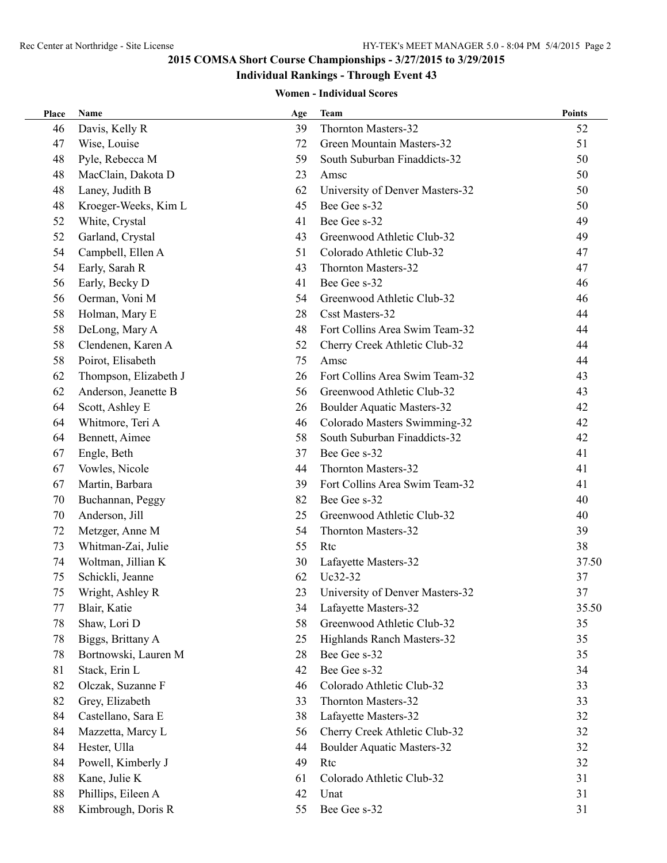# **Individual Rankings - Through Event 43**

| Place  | Name                  | Age | <b>Team</b>                       | <b>Points</b> |
|--------|-----------------------|-----|-----------------------------------|---------------|
| 46     | Davis, Kelly R        | 39  | Thornton Masters-32               | 52            |
| 47     | Wise, Louise          | 72  | Green Mountain Masters-32         | 51            |
| 48     | Pyle, Rebecca M       | 59  | South Suburban Finaddicts-32      | 50            |
| 48     | MacClain, Dakota D    | 23  | Amsc                              | 50            |
| 48     | Laney, Judith B       | 62  | University of Denver Masters-32   | 50            |
| 48     | Kroeger-Weeks, Kim L  | 45  | Bee Gee s-32                      | 50            |
| 52     | White, Crystal        | 41  | Bee Gee s-32                      | 49            |
| 52     | Garland, Crystal      | 43  | Greenwood Athletic Club-32        | 49            |
| 54     | Campbell, Ellen A     | 51  | Colorado Athletic Club-32         | 47            |
| 54     | Early, Sarah R        | 43  | Thornton Masters-32               | 47            |
| 56     | Early, Becky D        | 41  | Bee Gee s-32                      | 46            |
| 56     | Oerman, Voni M        | 54  | Greenwood Athletic Club-32        | 46            |
| 58     | Holman, Mary E        | 28  | <b>Csst Masters-32</b>            | 44            |
| 58     | DeLong, Mary A        | 48  | Fort Collins Area Swim Team-32    | 44            |
| 58     | Clendenen, Karen A    | 52  | Cherry Creek Athletic Club-32     | 44            |
| 58     | Poirot, Elisabeth     | 75  | Amsc                              | 44            |
| 62     | Thompson, Elizabeth J | 26  | Fort Collins Area Swim Team-32    | 43            |
| 62     | Anderson, Jeanette B  | 56  | Greenwood Athletic Club-32        | 43            |
| 64     | Scott, Ashley E       | 26  | Boulder Aquatic Masters-32        | 42            |
| 64     | Whitmore, Teri A      | 46  | Colorado Masters Swimming-32      | 42            |
| 64     | Bennett, Aimee        | 58  | South Suburban Finaddicts-32      | 42            |
| 67     | Engle, Beth           | 37  | Bee Gee s-32                      | 41            |
| 67     | Vowles, Nicole        | 44  | Thornton Masters-32               | 41            |
| 67     | Martin, Barbara       | 39  | Fort Collins Area Swim Team-32    | 41            |
| 70     | Buchannan, Peggy      | 82  | Bee Gee s-32                      | 40            |
| 70     | Anderson, Jill        | 25  | Greenwood Athletic Club-32        | 40            |
| 72     | Metzger, Anne M       | 54  | Thornton Masters-32               | 39            |
| 73     | Whitman-Zai, Julie    | 55  | R <sub>tc</sub>                   | 38            |
| 74     | Woltman, Jillian K    | 30  | Lafayette Masters-32              | 37.50         |
| 75     | Schickli, Jeanne      | 62  | Uc32-32                           | 37            |
| 75     | Wright, Ashley R      | 23  | University of Denver Masters-32   | 37            |
| 77     | Blair, Katie          | 34  | Lafayette Masters-32              | 35.50         |
| 78     | Shaw, Lori D          | 58  | Greenwood Athletic Club-32        | 35            |
| 78     | Biggs, Brittany A     | 25  | Highlands Ranch Masters-32        | 35            |
| 78     | Bortnowski, Lauren M  | 28  | Bee Gee s-32                      | 35            |
| 81     | Stack, Erin L         | 42  | Bee Gee s-32                      | 34            |
| 82     | Olczak, Suzanne F     | 46  | Colorado Athletic Club-32         | 33            |
| 82     | Grey, Elizabeth       | 33  | Thornton Masters-32               | 33            |
| 84     | Castellano, Sara E    | 38  | Lafayette Masters-32              | 32            |
| 84     | Mazzetta, Marcy L     | 56  | Cherry Creek Athletic Club-32     | 32            |
| 84     | Hester, Ulla          | 44  | <b>Boulder Aquatic Masters-32</b> | 32            |
| 84     | Powell, Kimberly J    | 49  | Rtc                               | 32            |
| 88     | Kane, Julie K         | 61  | Colorado Athletic Club-32         | 31            |
| 88     | Phillips, Eileen A    | 42  | Unat                              | 31            |
| $88\,$ | Kimbrough, Doris R    | 55  | Bee Gee s-32                      | 31            |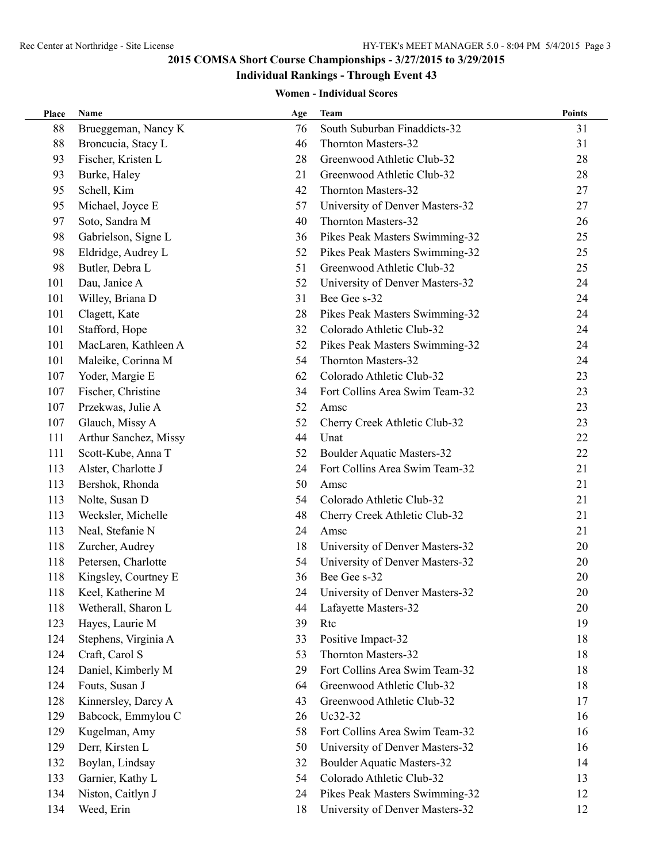## **Individual Rankings - Through Event 43**

| Place | Name                  | Age | <b>Team</b>                       | <b>Points</b> |
|-------|-----------------------|-----|-----------------------------------|---------------|
| 88    | Brueggeman, Nancy K   | 76  | South Suburban Finaddicts-32      | 31            |
| 88    | Broncucia, Stacy L    | 46  | Thornton Masters-32               | 31            |
| 93    | Fischer, Kristen L    | 28  | Greenwood Athletic Club-32        | 28            |
| 93    | Burke, Haley          | 21  | Greenwood Athletic Club-32        | 28            |
| 95    | Schell, Kim           | 42  | Thornton Masters-32               | 27            |
| 95    | Michael, Joyce E      | 57  | University of Denver Masters-32   | 27            |
| 97    | Soto, Sandra M        | 40  | Thornton Masters-32               | 26            |
| 98    | Gabrielson, Signe L   | 36  | Pikes Peak Masters Swimming-32    | 25            |
| 98    | Eldridge, Audrey L    | 52  | Pikes Peak Masters Swimming-32    | 25            |
| 98    | Butler, Debra L       | 51  | Greenwood Athletic Club-32        | 25            |
| 101   | Dau, Janice A         | 52  | University of Denver Masters-32   | 24            |
| 101   | Willey, Briana D      | 31  | Bee Gee s-32                      | 24            |
| 101   | Clagett, Kate         | 28  | Pikes Peak Masters Swimming-32    | 24            |
| 101   | Stafford, Hope        | 32  | Colorado Athletic Club-32         | 24            |
| 101   | MacLaren, Kathleen A  | 52  | Pikes Peak Masters Swimming-32    | 24            |
| 101   | Maleike, Corinna M    | 54  | Thornton Masters-32               | 24            |
| 107   | Yoder, Margie E       | 62  | Colorado Athletic Club-32         | 23            |
| 107   | Fischer, Christine    | 34  | Fort Collins Area Swim Team-32    | 23            |
| 107   | Przekwas, Julie A     | 52  | Amsc                              | 23            |
| 107   | Glauch, Missy A       | 52  | Cherry Creek Athletic Club-32     | 23            |
| 111   | Arthur Sanchez, Missy | 44  | Unat                              | 22            |
| 111   | Scott-Kube, Anna T    | 52  | <b>Boulder Aquatic Masters-32</b> | 22            |
| 113   | Alster, Charlotte J   | 24  | Fort Collins Area Swim Team-32    | 21            |
| 113   | Bershok, Rhonda       | 50  | Amsc                              | 21            |
| 113   | Nolte, Susan D        | 54  | Colorado Athletic Club-32         | 21            |
| 113   | Wecksler, Michelle    | 48  | Cherry Creek Athletic Club-32     | 21            |
| 113   | Neal, Stefanie N      | 24  | Amsc                              | 21            |
| 118   | Zurcher, Audrey       | 18  | University of Denver Masters-32   | 20            |
| 118   | Petersen, Charlotte   | 54  | University of Denver Masters-32   | 20            |
| 118   | Kingsley, Courtney E  | 36  | Bee Gee s-32                      | 20            |
| 118   | Keel, Katherine M     | 24  | University of Denver Masters-32   | 20            |
| 118   | Wetherall, Sharon L   | 44  | Lafayette Masters-32              | 20            |
| 123   | Hayes, Laurie M       | 39  | Rtc                               | 19            |
| 124   | Stephens, Virginia A  | 33  | Positive Impact-32                | 18            |
| 124   | Craft, Carol S        | 53  | Thornton Masters-32               | 18            |
| 124   | Daniel, Kimberly M    | 29  | Fort Collins Area Swim Team-32    | 18            |
| 124   | Fouts, Susan J        | 64  | Greenwood Athletic Club-32        | 18            |
| 128   | Kinnersley, Darcy A   | 43  | Greenwood Athletic Club-32        | 17            |
| 129   | Babcock, Emmylou C    | 26  | Uc32-32                           | 16            |
| 129   | Kugelman, Amy         | 58  | Fort Collins Area Swim Team-32    | 16            |
| 129   | Derr, Kirsten L       | 50  | University of Denver Masters-32   | 16            |
| 132   | Boylan, Lindsay       | 32  | <b>Boulder Aquatic Masters-32</b> | 14            |
| 133   | Garnier, Kathy L      | 54  | Colorado Athletic Club-32         | 13            |
| 134   | Niston, Caitlyn J     | 24  | Pikes Peak Masters Swimming-32    | 12            |
| 134   | Weed, Erin            | 18  | University of Denver Masters-32   | 12            |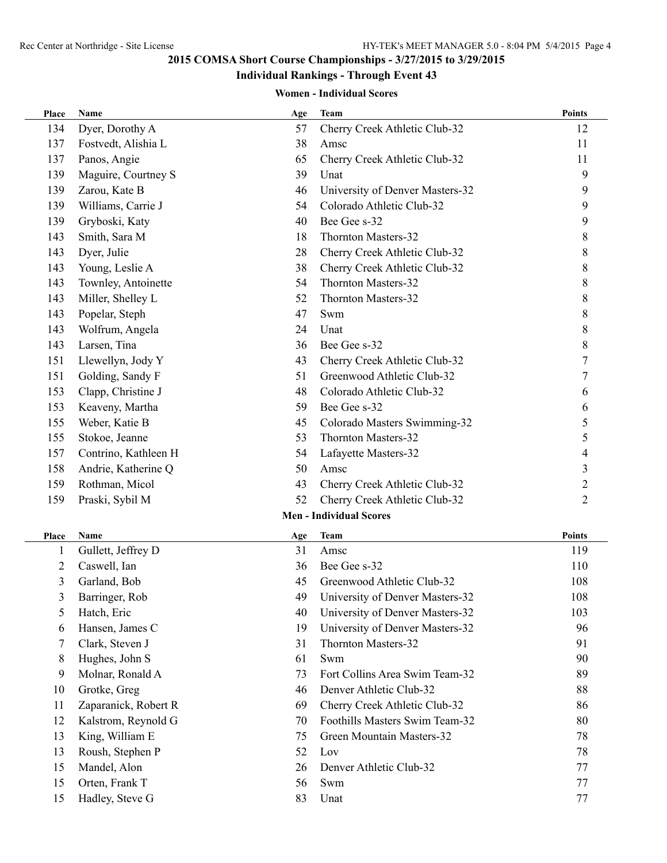# **Individual Rankings - Through Event 43**

| Place        | Name                 | Age | <b>Team</b>                     | <b>Points</b>  |
|--------------|----------------------|-----|---------------------------------|----------------|
| 134          | Dyer, Dorothy A      | 57  | Cherry Creek Athletic Club-32   | 12             |
| 137          | Fostvedt, Alishia L  | 38  | Amsc                            | 11             |
| 137          | Panos, Angie         | 65  | Cherry Creek Athletic Club-32   | 11             |
| 139          | Maguire, Courtney S  | 39  | Unat                            | 9              |
| 139          | Zarou, Kate B        | 46  | University of Denver Masters-32 | 9              |
| 139          | Williams, Carrie J   | 54  | Colorado Athletic Club-32       | 9              |
| 139          | Gryboski, Katy       | 40  | Bee Gee s-32                    | 9              |
| 143          | Smith, Sara M        | 18  | Thornton Masters-32             | $8\,$          |
| 143          | Dyer, Julie          | 28  | Cherry Creek Athletic Club-32   | 8              |
| 143          | Young, Leslie A      | 38  | Cherry Creek Athletic Club-32   | $\,8\,$        |
| 143          | Townley, Antoinette  | 54  | Thornton Masters-32             | 8              |
| 143          | Miller, Shelley L    | 52  | Thornton Masters-32             | $\,$ $\,$      |
| 143          | Popelar, Steph       | 47  | Swm                             | $8\,$          |
| 143          | Wolfrum, Angela      | 24  | Unat                            | $8\,$          |
| 143          | Larsen, Tina         | 36  | Bee Gee s-32                    | 8              |
| 151          | Llewellyn, Jody Y    | 43  | Cherry Creek Athletic Club-32   | $\overline{7}$ |
| 151          | Golding, Sandy F     | 51  | Greenwood Athletic Club-32      | $\overline{7}$ |
| 153          | Clapp, Christine J   | 48  | Colorado Athletic Club-32       | 6              |
| 153          | Keaveny, Martha      | 59  | Bee Gee s-32                    | 6              |
| 155          | Weber, Katie B       | 45  | Colorado Masters Swimming-32    | 5              |
| 155          | Stokoe, Jeanne       | 53  | Thornton Masters-32             | 5              |
| 157          | Contrino, Kathleen H | 54  | Lafayette Masters-32            | 4              |
| 158          | Andrie, Katherine Q  | 50  | Amsc                            | 3              |
| 159          | Rothman, Micol       | 43  | Cherry Creek Athletic Club-32   | $\overline{c}$ |
| 159          | Praski, Sybil M      | 52  | Cherry Creek Athletic Club-32   | 2              |
|              |                      |     | <b>Men - Individual Scores</b>  |                |
| Place        | Name                 | Age | <b>Team</b>                     | <b>Points</b>  |
| $\mathbf{1}$ | Gullett, Jeffrey D   | 31  | Amsc                            | 119            |
| 2            | Caswell, Ian         | 36  | Bee Gee s-32                    | 110            |
| 3            | Garland, Bob         | 45  | Greenwood Athletic Club-32      | 108            |
| 3            | Barringer, Rob       | 49  | University of Denver Masters-32 | 108            |
| 5            | Hatch, Eric          | 40  | University of Denver Masters-32 | 103            |
| 6            | Hansen, James C      | 19  | University of Denver Masters-32 | 96             |
| 7            | Clark, Steven J      | 31  | Thornton Masters-32             | 91             |
| 8            | Hughes, John S       | 61  | Swm                             | 90             |
| 9            | Molnar, Ronald A     | 73  | Fort Collins Area Swim Team-32  | 89             |
| 10           | Grotke, Greg         | 46  | Denver Athletic Club-32         | 88             |
| 11           | Zaparanick, Robert R | 69  | Cherry Creek Athletic Club-32   | 86             |
| 12           | Kalstrom, Reynold G  | 70  | Foothills Masters Swim Team-32  | 80             |
| 13           | King, William E      | 75  | Green Mountain Masters-32       | 78             |
| 13           | Roush, Stephen P     | 52  | Lov                             | 78             |
| 15           | Mandel, Alon         | 26  | Denver Athletic Club-32         | 77             |
| 15           | Orten, Frank T       | 56  | Swm                             | 77             |
| 15           | Hadley, Steve G      | 83  | Unat                            | 77             |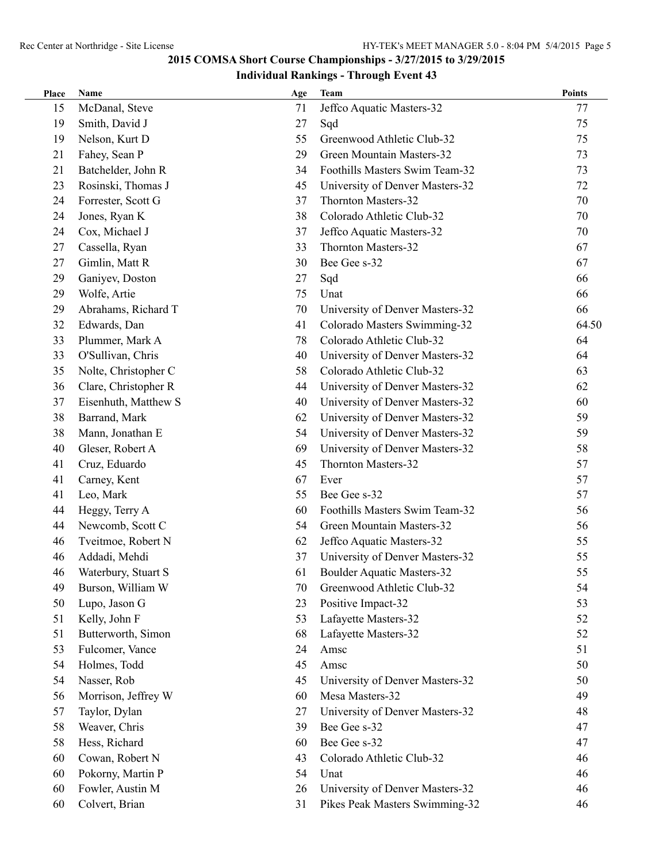## **Individual Rankings - Through Event 43**

| Place | Name                 | Age | <b>Team</b>                       | <b>Points</b> |
|-------|----------------------|-----|-----------------------------------|---------------|
| 15    | McDanal, Steve       | 71  | Jeffco Aquatic Masters-32         | 77            |
| 19    | Smith, David J       | 27  | Sqd                               | 75            |
| 19    | Nelson, Kurt D       | 55  | Greenwood Athletic Club-32        | 75            |
| 21    | Fahey, Sean P        | 29  | Green Mountain Masters-32         | 73            |
| 21    | Batchelder, John R   | 34  | Foothills Masters Swim Team-32    | 73            |
| 23    | Rosinski, Thomas J   | 45  | University of Denver Masters-32   | 72            |
| 24    | Forrester, Scott G   | 37  | Thornton Masters-32               | 70            |
| 24    | Jones, Ryan K        | 38  | Colorado Athletic Club-32         | 70            |
| 24    | Cox, Michael J       | 37  | Jeffco Aquatic Masters-32         | 70            |
| 27    | Cassella, Ryan       | 33  | Thornton Masters-32               | 67            |
| 27    | Gimlin, Matt R       | 30  | Bee Gee s-32                      | 67            |
| 29    | Ganiyev, Doston      | 27  | Sqd                               | 66            |
| 29    | Wolfe, Artie         | 75  | Unat                              | 66            |
| 29    | Abrahams, Richard T  | 70  | University of Denver Masters-32   | 66            |
| 32    | Edwards, Dan         | 41  | Colorado Masters Swimming-32      | 64.50         |
| 33    | Plummer, Mark A      | 78  | Colorado Athletic Club-32         | 64            |
| 33    | O'Sullivan, Chris    | 40  | University of Denver Masters-32   | 64            |
| 35    | Nolte, Christopher C | 58  | Colorado Athletic Club-32         | 63            |
| 36    | Clare, Christopher R | 44  | University of Denver Masters-32   | 62            |
| 37    | Eisenhuth, Matthew S | 40  | University of Denver Masters-32   | 60            |
| 38    | Barrand, Mark        | 62  | University of Denver Masters-32   | 59            |
| 38    | Mann, Jonathan E     | 54  | University of Denver Masters-32   | 59            |
| 40    | Gleser, Robert A     | 69  | University of Denver Masters-32   | 58            |
| 41    | Cruz, Eduardo        | 45  | Thornton Masters-32               | 57            |
| 41    | Carney, Kent         | 67  | Ever                              | 57            |
| 41    | Leo, Mark            | 55  | Bee Gee s-32                      | 57            |
| 44    | Heggy, Terry A       | 60  | Foothills Masters Swim Team-32    | 56            |
| 44    | Newcomb, Scott C     | 54  | Green Mountain Masters-32         | 56            |
| 46    | Tveitmoe, Robert N   | 62  | Jeffco Aquatic Masters-32         | 55            |
| 46    | Addadi, Mehdi        | 37  | University of Denver Masters-32   | 55            |
| 46    | Waterbury, Stuart S  | 61  | <b>Boulder Aquatic Masters-32</b> | 55            |
| 49    | Burson, William W    | 70  | Greenwood Athletic Club-32        | 54            |
| 50    | Lupo, Jason G        | 23  | Positive Impact-32                | 53            |
| 51    | Kelly, John F        | 53  | Lafayette Masters-32              | 52            |
| 51    | Butterworth, Simon   | 68  | Lafayette Masters-32              | 52            |
| 53    | Fulcomer, Vance      | 24  | Amsc                              | 51            |
| 54    | Holmes, Todd         | 45  | Amsc                              | 50            |
| 54    | Nasser, Rob          | 45  | University of Denver Masters-32   | 50            |
| 56    | Morrison, Jeffrey W  | 60  | Mesa Masters-32                   | 49            |
| 57    | Taylor, Dylan        | 27  | University of Denver Masters-32   | 48            |
| 58    | Weaver, Chris        | 39  | Bee Gee s-32                      | 47            |
| 58    | Hess, Richard        | 60  | Bee Gee s-32                      | 47            |
| 60    | Cowan, Robert N      | 43  | Colorado Athletic Club-32         | 46            |
| 60    | Pokorny, Martin P    | 54  | Unat                              | 46            |
| 60    | Fowler, Austin M     | 26  | University of Denver Masters-32   | 46            |
| 60    | Colvert, Brian       | 31  | Pikes Peak Masters Swimming-32    | 46            |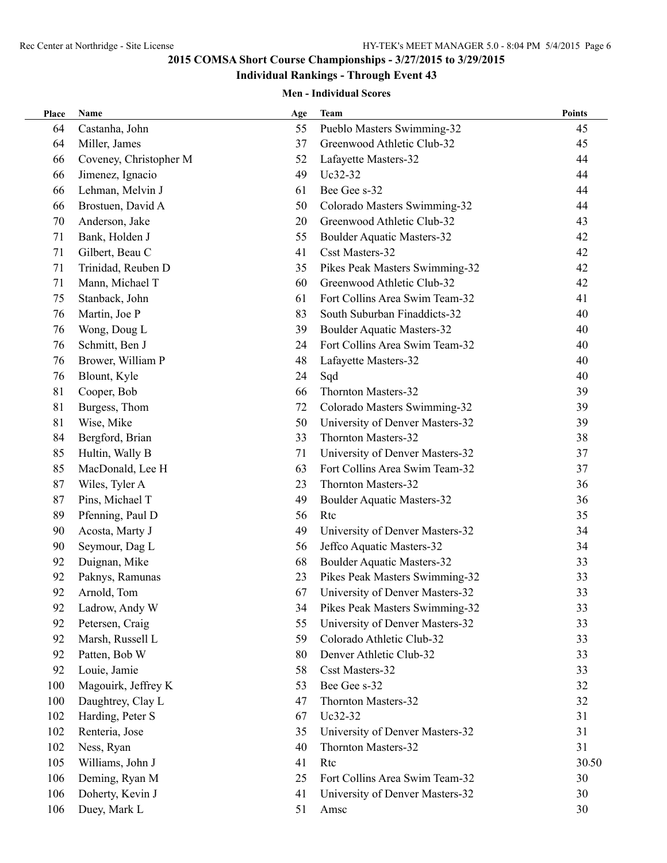# **Individual Rankings - Through Event 43**

| Place | <b>Name</b>            | Age | <b>Team</b>                       | <b>Points</b> |
|-------|------------------------|-----|-----------------------------------|---------------|
| 64    | Castanha, John         | 55  | Pueblo Masters Swimming-32        | 45            |
| 64    | Miller, James          | 37  | Greenwood Athletic Club-32        | 45            |
| 66    | Coveney, Christopher M | 52  | Lafayette Masters-32              | 44            |
| 66    | Jimenez, Ignacio       | 49  | Uc32-32                           | 44            |
| 66    | Lehman, Melvin J       | 61  | Bee Gee s-32                      | 44            |
| 66    | Brostuen, David A      | 50  | Colorado Masters Swimming-32      | 44            |
| 70    | Anderson, Jake         | 20  | Greenwood Athletic Club-32        | 43            |
| 71    | Bank, Holden J         | 55  | <b>Boulder Aquatic Masters-32</b> | 42            |
| 71    | Gilbert, Beau C        | 41  | <b>Csst Masters-32</b>            | 42            |
| 71    | Trinidad, Reuben D     | 35  | Pikes Peak Masters Swimming-32    | 42            |
| 71    | Mann, Michael T        | 60  | Greenwood Athletic Club-32        | 42            |
| 75    | Stanback, John         | 61  | Fort Collins Area Swim Team-32    | 41            |
| 76    | Martin, Joe P          | 83  | South Suburban Finaddicts-32      | 40            |
| 76    | Wong, Doug L           | 39  | <b>Boulder Aquatic Masters-32</b> | 40            |
| 76    | Schmitt, Ben J         | 24  | Fort Collins Area Swim Team-32    | 40            |
| 76    | Brower, William P      | 48  | Lafayette Masters-32              | 40            |
| 76    | Blount, Kyle           | 24  | Sqd                               | 40            |
| 81    | Cooper, Bob            | 66  | Thornton Masters-32               | 39            |
| 81    | Burgess, Thom          | 72  | Colorado Masters Swimming-32      | 39            |
| 81    | Wise, Mike             | 50  | University of Denver Masters-32   | 39            |
| 84    | Bergford, Brian        | 33  | Thornton Masters-32               | 38            |
| 85    | Hultin, Wally B        | 71  | University of Denver Masters-32   | 37            |
| 85    | MacDonald, Lee H       | 63  | Fort Collins Area Swim Team-32    | 37            |
| 87    | Wiles, Tyler A         | 23  | Thornton Masters-32               | 36            |
| 87    | Pins, Michael T        | 49  | <b>Boulder Aquatic Masters-32</b> | 36            |
| 89    | Pfenning, Paul D       | 56  | Rtc                               | 35            |
| 90    | Acosta, Marty J        | 49  | University of Denver Masters-32   | 34            |
| 90    | Seymour, Dag L         | 56  | Jeffco Aquatic Masters-32         | 34            |
| 92    | Duignan, Mike          | 68  | <b>Boulder Aquatic Masters-32</b> | 33            |
| 92    | Paknys, Ramunas        | 23  | Pikes Peak Masters Swimming-32    | 33            |
| 92    | Arnold, Tom            | 67  | University of Denver Masters-32   | 33            |
| 92    | Ladrow, Andy W         | 34  | Pikes Peak Masters Swimming-32    | 33            |
| 92    | Petersen, Craig        | 55  | University of Denver Masters-32   | 33            |
| 92    | Marsh, Russell L       | 59  | Colorado Athletic Club-32         | 33            |
| 92    | Patten, Bob W          | 80  | Denver Athletic Club-32           | 33            |
| 92    | Louie, Jamie           | 58  | <b>Csst Masters-32</b>            | 33            |
| 100   | Magouirk, Jeffrey K    | 53  | Bee Gee s-32                      | 32            |
| 100   | Daughtrey, Clay L      | 47  | Thornton Masters-32               | 32            |
| 102   | Harding, Peter S       | 67  | Uc32-32                           | 31            |
| 102   | Renteria, Jose         | 35  | University of Denver Masters-32   | 31            |
| 102   | Ness, Ryan             | 40  | Thornton Masters-32               | 31            |
| 105   | Williams, John J       | 41  | Rtc                               | 30.50         |
| 106   | Deming, Ryan M         | 25  | Fort Collins Area Swim Team-32    | 30            |
| 106   | Doherty, Kevin J       | 41  | University of Denver Masters-32   | 30            |
| 106   | Duey, Mark L           | 51  | Amsc                              | 30            |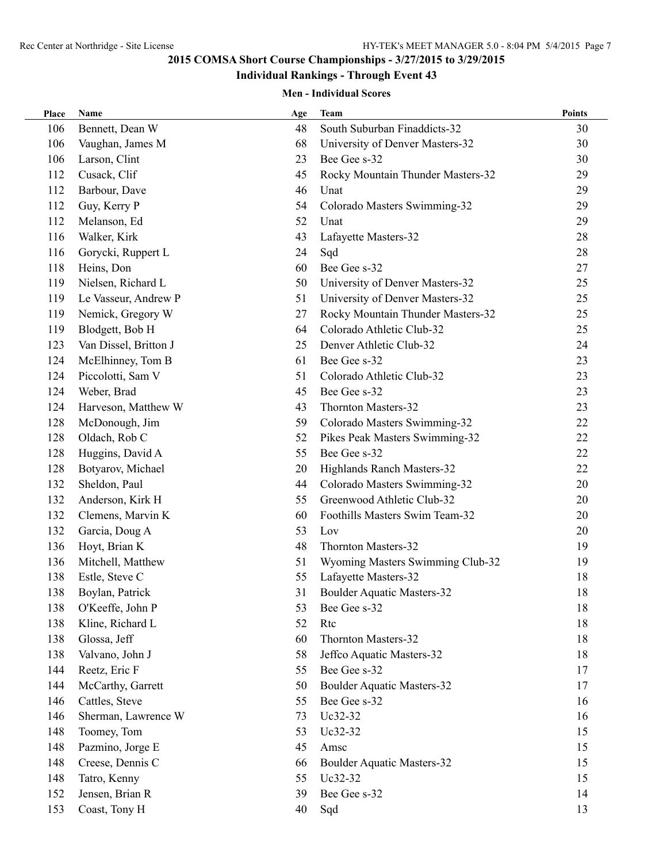# **Individual Rankings - Through Event 43**

| Place | Name                  | Age | <b>Team</b>                       | <b>Points</b> |
|-------|-----------------------|-----|-----------------------------------|---------------|
| 106   | Bennett, Dean W       | 48  | South Suburban Finaddicts-32      | 30            |
| 106   | Vaughan, James M      | 68  | University of Denver Masters-32   | 30            |
| 106   | Larson, Clint         | 23  | Bee Gee s-32                      | 30            |
| 112   | Cusack, Clif          | 45  | Rocky Mountain Thunder Masters-32 | 29            |
| 112   | Barbour, Dave         | 46  | Unat                              | 29            |
| 112   | Guy, Kerry P          | 54  | Colorado Masters Swimming-32      | 29            |
| 112   | Melanson, Ed          | 52  | Unat                              | 29            |
| 116   | Walker, Kirk          | 43  | Lafayette Masters-32              | 28            |
| 116   | Gorycki, Ruppert L    | 24  | Sqd                               | 28            |
| 118   | Heins, Don            | 60  | Bee Gee s-32                      | 27            |
| 119   | Nielsen, Richard L    | 50  | University of Denver Masters-32   | 25            |
| 119   | Le Vasseur, Andrew P  | 51  | University of Denver Masters-32   | 25            |
| 119   | Nemick, Gregory W     | 27  | Rocky Mountain Thunder Masters-32 | 25            |
| 119   | Blodgett, Bob H       | 64  | Colorado Athletic Club-32         | 25            |
| 123   | Van Dissel, Britton J | 25  | Denver Athletic Club-32           | 24            |
| 124   | McElhinney, Tom B     | 61  | Bee Gee s-32                      | 23            |
| 124   | Piccolotti, Sam V     | 51  | Colorado Athletic Club-32         | 23            |
| 124   | Weber, Brad           | 45  | Bee Gee s-32                      | 23            |
| 124   | Harveson, Matthew W   | 43  | Thornton Masters-32               | 23            |
| 128   | McDonough, Jim        | 59  | Colorado Masters Swimming-32      | 22            |
| 128   | Oldach, Rob C         | 52  | Pikes Peak Masters Swimming-32    | 22            |
| 128   | Huggins, David A      | 55  | Bee Gee s-32                      | 22            |
| 128   | Botyarov, Michael     | 20  | Highlands Ranch Masters-32        | 22            |
| 132   | Sheldon, Paul         | 44  | Colorado Masters Swimming-32      | 20            |
| 132   | Anderson, Kirk H      | 55  | Greenwood Athletic Club-32        | 20            |
| 132   | Clemens, Marvin K     | 60  | Foothills Masters Swim Team-32    | 20            |
| 132   | Garcia, Doug A        | 53  | Lov                               | 20            |
| 136   | Hoyt, Brian K         | 48  | Thornton Masters-32               | 19            |
| 136   | Mitchell, Matthew     | 51  | Wyoming Masters Swimming Club-32  | 19            |
| 138   | Estle, Steve C        | 55  | Lafayette Masters-32              | 18            |
| 138   | Boylan, Patrick       | 31  | <b>Boulder Aquatic Masters-32</b> | 18            |
| 138   | O'Keeffe, John P      | 53  | Bee Gee s-32                      | 18            |
| 138   | Kline, Richard L      | 52  | Rtc                               | 18            |
| 138   | Glossa, Jeff          | 60  | Thornton Masters-32               | 18            |
| 138   | Valvano, John J       | 58  | Jeffco Aquatic Masters-32         | 18            |
| 144   | Reetz, Eric F         | 55  | Bee Gee s-32                      | 17            |
| 144   | McCarthy, Garrett     | 50  | <b>Boulder Aquatic Masters-32</b> | 17            |
| 146   | Cattles, Steve        | 55  | Bee Gee s-32                      | 16            |
| 146   | Sherman, Lawrence W   | 73  | Uc32-32                           | 16            |
| 148   | Toomey, Tom           | 53  | Uc32-32                           | 15            |
| 148   | Pazmino, Jorge E      | 45  | Amsc                              | 15            |
| 148   | Creese, Dennis C      | 66  | <b>Boulder Aquatic Masters-32</b> | 15            |
| 148   | Tatro, Kenny          | 55  | Uc32-32                           | 15            |
| 152   | Jensen, Brian R       | 39  | Bee Gee s-32                      | 14            |
| 153   | Coast, Tony H         | 40  | Sqd                               | 13            |